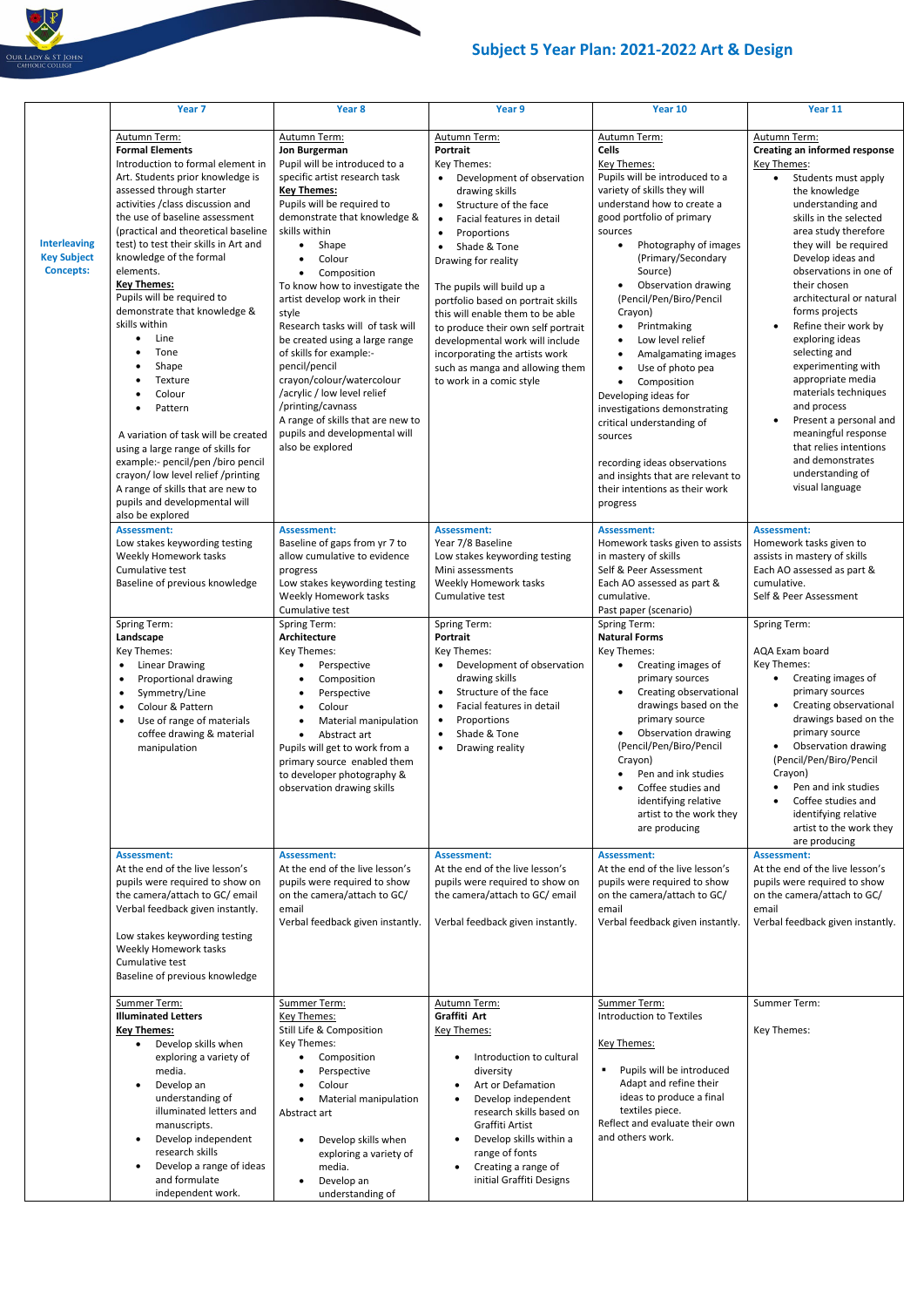## **Subject 5 Year Plan: 2021-2022 Art & Design**

|                                                               | Year <sub>7</sub>                                                                                                                                                                                                                                                                                                                                                                                                                                                                                                                                                                                                                                                                                                                                         | Year 8                                                                                                                                                                                                                                                                                                                                                                                                                                                                                                                                                                                                         | Year 9                                                                                                                                                                                                                                                                                                                                                                                                                                                                                                                                                 | Year 10                                                                                                                                                                                                                                                                                                                                                                                                                                                                                                                                                                                                                                                                                           | Year 11                                                                                                                                                                                                                                                                                                                                                                                                                                                                                                                                                                                                                   |
|---------------------------------------------------------------|-----------------------------------------------------------------------------------------------------------------------------------------------------------------------------------------------------------------------------------------------------------------------------------------------------------------------------------------------------------------------------------------------------------------------------------------------------------------------------------------------------------------------------------------------------------------------------------------------------------------------------------------------------------------------------------------------------------------------------------------------------------|----------------------------------------------------------------------------------------------------------------------------------------------------------------------------------------------------------------------------------------------------------------------------------------------------------------------------------------------------------------------------------------------------------------------------------------------------------------------------------------------------------------------------------------------------------------------------------------------------------------|--------------------------------------------------------------------------------------------------------------------------------------------------------------------------------------------------------------------------------------------------------------------------------------------------------------------------------------------------------------------------------------------------------------------------------------------------------------------------------------------------------------------------------------------------------|---------------------------------------------------------------------------------------------------------------------------------------------------------------------------------------------------------------------------------------------------------------------------------------------------------------------------------------------------------------------------------------------------------------------------------------------------------------------------------------------------------------------------------------------------------------------------------------------------------------------------------------------------------------------------------------------------|---------------------------------------------------------------------------------------------------------------------------------------------------------------------------------------------------------------------------------------------------------------------------------------------------------------------------------------------------------------------------------------------------------------------------------------------------------------------------------------------------------------------------------------------------------------------------------------------------------------------------|
| <b>Interleaving</b><br><b>Key Subject</b><br><b>Concepts:</b> | Autumn Term:<br><b>Formal Elements</b><br>Introduction to formal element in<br>Art. Students prior knowledge is<br>assessed through starter<br>activities / class discussion and<br>the use of baseline assessment<br>(practical and theoretical baseline<br>test) to test their skills in Art and<br>knowledge of the formal<br>elements.<br><b>Key Themes:</b><br>Pupils will be required to<br>demonstrate that knowledge &<br>skills within<br>Line<br>Tone<br>Shape<br>Texture<br>Colour<br>Pattern<br>A variation of task will be created<br>using a large range of skills for<br>example:- pencil/pen /biro pencil<br>crayon/ low level relief /printing<br>A range of skills that are new to<br>pupils and developmental will<br>also be explored | Autumn Term:<br>Jon Burgerman<br>Pupil will be introduced to a<br>specific artist research task<br><b>Key Themes:</b><br>Pupils will be required to<br>demonstrate that knowledge &<br>skills within<br>Shape<br>Colour<br>Composition<br>To know how to investigate the<br>artist develop work in their<br>style<br>Research tasks will of task will<br>be created using a large range<br>of skills for example:-<br>pencil/pencil<br>crayon/colour/watercolour<br>/acrylic / low level relief<br>/printing/cavnass<br>A range of skills that are new to<br>pupils and developmental will<br>also be explored | Autumn Term:<br>Portrait<br>Key Themes:<br>Development of observation<br>$\bullet$<br>drawing skills<br>Structure of the face<br>$\bullet$<br>Facial features in detail<br>$\bullet$<br>Proportions<br>$\bullet$<br>Shade & Tone<br>$\bullet$<br>Drawing for reality<br>The pupils will build up a<br>portfolio based on portrait skills<br>this will enable them to be able<br>to produce their own self portrait<br>developmental work will include<br>incorporating the artists work<br>such as manga and allowing them<br>to work in a comic style | Autumn Term:<br><b>Cells</b><br><b>Key Themes:</b><br>Pupils will be introduced to a<br>variety of skills they will<br>understand how to create a<br>good portfolio of primary<br>sources<br>Photography of images<br>(Primary/Secondary<br>Source)<br>Observation drawing<br>(Pencil/Pen/Biro/Pencil<br>Crayon)<br>Printmaking<br>$\bullet$<br>Low level relief<br>$\bullet$<br>Amalgamating images<br>$\bullet$<br>Use of photo pea<br>$\bullet$<br>Composition<br>$\bullet$<br>Developing ideas for<br>investigations demonstrating<br>critical understanding of<br>sources<br>recording ideas observations<br>and insights that are relevant to<br>their intentions as their work<br>progress | Autumn Term:<br><b>Creating an informed response</b><br>Key Themes:<br>Students must apply<br>$\bullet$<br>the knowledge<br>understanding and<br>skills in the selected<br>area study therefore<br>they will be required<br>Develop ideas and<br>observations in one of<br>their chosen<br>architectural or natural<br>forms projects<br>Refine their work by<br>exploring ideas<br>selecting and<br>experimenting with<br>appropriate media<br>materials techniques<br>and process<br>Present a personal and<br>meaningful response<br>that relies intentions<br>and demonstrates<br>understanding of<br>visual language |
|                                                               | <b>Assessment:</b><br>Low stakes keywording testing<br>Weekly Homework tasks<br>Cumulative test<br>Baseline of previous knowledge                                                                                                                                                                                                                                                                                                                                                                                                                                                                                                                                                                                                                         | <b>Assessment:</b><br>Baseline of gaps from yr 7 to<br>allow cumulative to evidence<br>progress<br>Low stakes keywording testing<br>Weekly Homework tasks<br>Cumulative test                                                                                                                                                                                                                                                                                                                                                                                                                                   | <b>Assessment:</b><br>Year 7/8 Baseline<br>Low stakes keywording testing<br>Mini assessments<br>Weekly Homework tasks<br>Cumulative test                                                                                                                                                                                                                                                                                                                                                                                                               | <b>Assessment:</b><br>Homework tasks given to assists<br>in mastery of skills<br>Self & Peer Assessment<br>Each AO assessed as part &<br>cumulative.<br>Past paper (scenario)                                                                                                                                                                                                                                                                                                                                                                                                                                                                                                                     | <b>Assessment:</b><br>Homework tasks given to<br>assists in mastery of skills<br>Each AO assessed as part &<br>cumulative.<br>Self & Peer Assessment                                                                                                                                                                                                                                                                                                                                                                                                                                                                      |
|                                                               | Spring Term:<br>Landscape<br>Key Themes:<br><b>Linear Drawing</b><br>$\bullet$<br>Proportional drawing<br>Symmetry/Line<br>$\bullet$<br>Colour & Pattern<br>$\bullet$<br>Use of range of materials<br>$\bullet$<br>coffee drawing & material<br>manipulation                                                                                                                                                                                                                                                                                                                                                                                                                                                                                              | Spring Term:<br>Architecture<br>Key Themes:<br>Perspective<br>Composition<br>Perspective<br>Colour<br>Material manipulation<br>Abstract art<br>$\bullet$<br>Pupils will get to work from a<br>primary source enabled them<br>to developer photography &<br>observation drawing skills                                                                                                                                                                                                                                                                                                                          | Spring Term:<br>Portrait<br>Key Themes:<br>Development of observation<br>drawing skills<br>Structure of the face<br>$\bullet$<br>Facial features in detail<br>Proportions<br>$\bullet$<br>Shade & Tone<br>$\bullet$<br>Drawing reality<br>$\bullet$                                                                                                                                                                                                                                                                                                    | Spring Term:<br><b>Natural Forms</b><br>Key Themes:<br>• Creating images of<br>primary sources<br>Creating observational<br>$\bullet$<br>drawings based on the<br>primary source<br>Observation drawing<br>$\bullet$<br>(Pencil/Pen/Biro/Pencil<br>Crayon)<br>Pen and ink studies<br>$\bullet$<br>Coffee studies and<br>$\bullet$<br>identifying relative<br>artist to the work they<br>are producing                                                                                                                                                                                                                                                                                             | <b>Spring Term:</b><br>AQA Exam board<br>Key Themes:<br>Creating images of<br>primary sources<br>Creating observational<br>drawings based on the<br>primary source<br>Observation drawing<br>(Pencil/Pen/Biro/Pencil<br>Crayon)<br>Pen and ink studies<br>$\bullet$<br>Coffee studies and<br>identifying relative<br>artist to the work they<br>are producing                                                                                                                                                                                                                                                             |
|                                                               | <b>Assessment:</b><br>At the end of the live lesson's<br>pupils were required to show on<br>the camera/attach to GC/ email<br>Verbal feedback given instantly.<br>Low stakes keywording testing<br>Weekly Homework tasks<br>Cumulative test<br>Baseline of previous knowledge                                                                                                                                                                                                                                                                                                                                                                                                                                                                             | <b>Assessment:</b><br>At the end of the live lesson's<br>pupils were required to show<br>on the camera/attach to GC/<br>email<br>Verbal feedback given instantly.                                                                                                                                                                                                                                                                                                                                                                                                                                              | <b>Assessment:</b><br>At the end of the live lesson's<br>pupils were required to show on<br>the camera/attach to GC/ email<br>Verbal feedback given instantly.                                                                                                                                                                                                                                                                                                                                                                                         | <b>Assessment:</b><br>At the end of the live lesson's<br>pupils were required to show<br>on the camera/attach to GC/<br>email<br>Verbal feedback given instantly.                                                                                                                                                                                                                                                                                                                                                                                                                                                                                                                                 | <b>Assessment:</b><br>At the end of the live lesson's<br>pupils were required to show<br>on the camera/attach to GC/<br>email<br>Verbal feedback given instantly.                                                                                                                                                                                                                                                                                                                                                                                                                                                         |
|                                                               | Summer Term:<br><b>Illuminated Letters</b><br><b>Key Themes:</b><br>Develop skills when<br>exploring a variety of<br>media.<br>Develop an<br>understanding of<br>illuminated letters and<br>manuscripts.<br>Develop independent<br>$\bullet$<br>research skills<br>Develop a range of ideas<br>$\bullet$<br>and formulate<br>independent work.                                                                                                                                                                                                                                                                                                                                                                                                            | Summer Term:<br>Key Themes:<br>Still Life & Composition<br>Key Themes:<br>Composition<br>Perspective<br>Colour<br>Material manipulation<br>Abstract art<br>Develop skills when<br>exploring a variety of<br>media.<br>Develop an<br>understanding of                                                                                                                                                                                                                                                                                                                                                           | Autumn Term:<br>Graffiti Art<br>Key Themes:<br>Introduction to cultural<br>diversity<br>• Art or Defamation<br>Develop independent<br>$\bullet$<br>research skills based on<br>Graffiti Artist<br>Develop skills within a<br>range of fonts<br>Creating a range of<br>initial Graffiti Designs                                                                                                                                                                                                                                                         | Summer Term:<br>Introduction to Textiles<br>Key Themes:<br>Pupils will be introduced<br>Adapt and refine their<br>ideas to produce a final<br>textiles piece.<br>Reflect and evaluate their own<br>and others work.                                                                                                                                                                                                                                                                                                                                                                                                                                                                               | Summer Term:<br>Key Themes:                                                                                                                                                                                                                                                                                                                                                                                                                                                                                                                                                                                               |

OUR LADY & ST JOHN